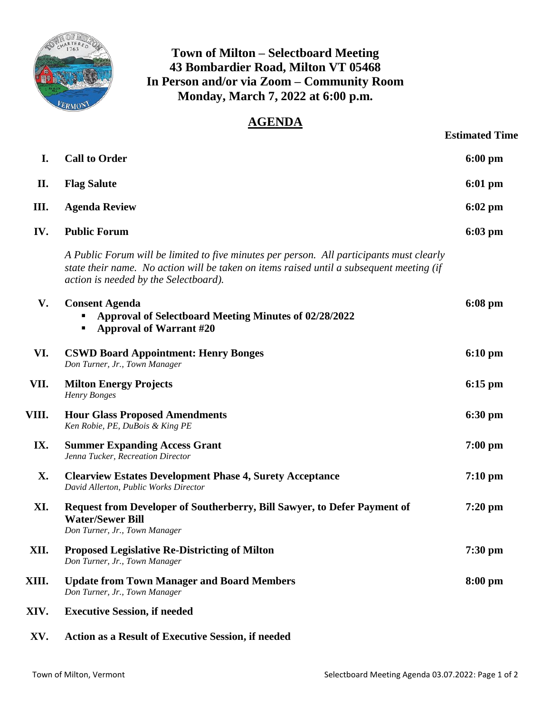

## **Town of Milton – Selectboard Meeting 43 Bombardier Road, Milton VT 05468 In Person and/or via Zoom – Community Room Monday, March 7, 2022 at 6:00 p.m.**

## **AGENDA**

|       |                                                                                                                                                                                                                               | <b>Estimated Time</b> |
|-------|-------------------------------------------------------------------------------------------------------------------------------------------------------------------------------------------------------------------------------|-----------------------|
| I.    | <b>Call to Order</b>                                                                                                                                                                                                          | $6:00$ pm             |
| П.    | <b>Flag Salute</b>                                                                                                                                                                                                            | $6:01$ pm             |
| Ш.    | <b>Agenda Review</b>                                                                                                                                                                                                          | 6:02 pm               |
| IV.   | <b>Public Forum</b>                                                                                                                                                                                                           | $6:03 \text{ pm}$     |
|       | A Public Forum will be limited to five minutes per person. All participants must clearly<br>state their name. No action will be taken on items raised until a subsequent meeting (if<br>action is needed by the Selectboard). |                       |
| V.    | <b>Consent Agenda</b><br>Approval of Selectboard Meeting Minutes of 02/28/2022<br><b>Approval of Warrant #20</b><br>п                                                                                                         | $6:08 \text{ pm}$     |
| VI.   | <b>CSWD Board Appointment: Henry Bonges</b><br>Don Turner, Jr., Town Manager                                                                                                                                                  | $6:10 \text{ pm}$     |
| VII.  | <b>Milton Energy Projects</b><br>Henry Bonges                                                                                                                                                                                 | $6:15 \text{ pm}$     |
| VIII. | <b>Hour Glass Proposed Amendments</b><br>Ken Robie, PE, DuBois & King PE                                                                                                                                                      | $6:30 \text{ pm}$     |
| IX.   | <b>Summer Expanding Access Grant</b><br>Jenna Tucker, Recreation Director                                                                                                                                                     | $7:00$ pm             |
| X.    | <b>Clearview Estates Development Phase 4, Surety Acceptance</b><br>David Allerton, Public Works Director                                                                                                                      | $7:10 \text{ pm}$     |
| XI.   | Request from Developer of Southerberry, Bill Sawyer, to Defer Payment of<br><b>Water/Sewer Bill</b><br>Don Turner, Jr., Town Manager                                                                                          | $7:20$ pm             |
| XII.  | <b>Proposed Legislative Re-Districting of Milton</b><br>Don Turner, Jr., Town Manager                                                                                                                                         | $7:30$ pm             |
| XIII. | <b>Update from Town Manager and Board Members</b><br>Don Turner, Jr., Town Manager                                                                                                                                            | $8:00$ pm             |
| XIV.  | <b>Executive Session, if needed</b>                                                                                                                                                                                           |                       |
|       |                                                                                                                                                                                                                               |                       |

**XV. Action as a Result of Executive Session, if needed**